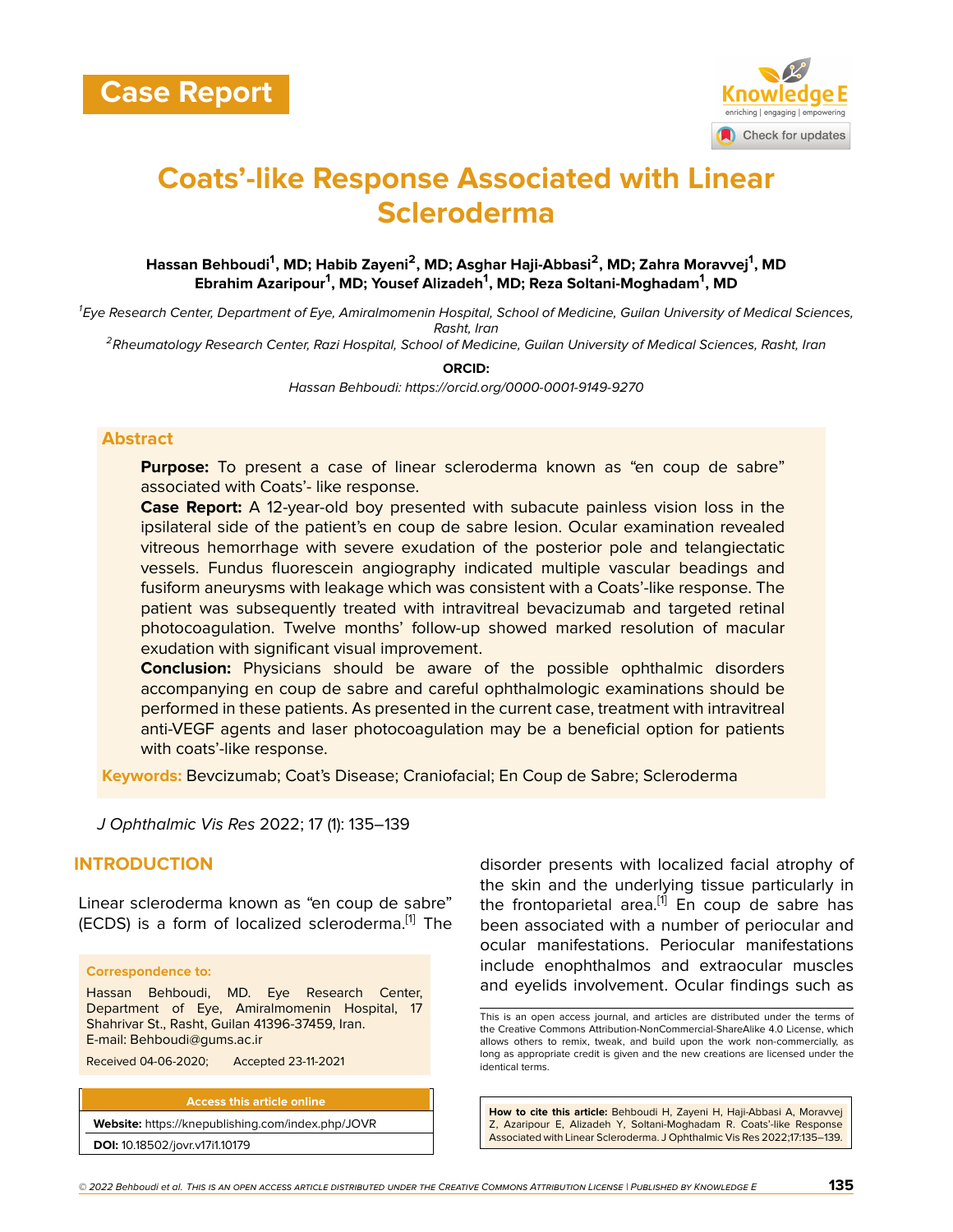

# **Coats'-like Response Associated with Linear Scleroderma**

# **Hassan Behboudi<sup>1</sup> , MD; Habib Zayeni<sup>2</sup> , MD; Asghar Haji-Abbasi<sup>2</sup> , MD; Zahra Moravvej<sup>1</sup> , MD Ebrahim Azaripour<sup>1</sup> , MD; Yousef Alizadeh<sup>1</sup> , MD; Reza Soltani-Moghadam<sup>1</sup> , MD**

*<sup>1</sup>Eye Research Center, Department of Eye, Amiralmomenin Hospital, School of Medicine, Guilan University of Medical Sciences, Rasht, Iran*

*<sup>2</sup>Rheumatology Research Center, Razi Hospital, School of Medicine, Guilan University of Medical Sciences, Rasht, Iran*

**ORCID:**

*Hassan Behboudi: https://orcid.org/0000-0001-9149-9270*

#### **Abstract**

**Purpose:** To present a case of linear scleroderma known as "en coup de sabre" associated with Coats'- like response.

**Case Report:** A 12-year-old boy presented with subacute painless vision loss in the ipsilateral side of the patient's en coup de sabre lesion. Ocular examination revealed vitreous hemorrhage with severe exudation of the posterior pole and telangiectatic vessels. Fundus fluorescein angiography indicated multiple vascular beadings and fusiform aneurysms with leakage which was consistent with a Coats'-like response. The patient was subsequently treated with intravitreal bevacizumab and targeted retinal photocoagulation. Twelve months' follow-up showed marked resolution of macular exudation with significant visual improvement.

**Conclusion:** Physicians should be aware of the possible ophthalmic disorders accompanying en coup de sabre and careful ophthalmologic examinations should be performed in these patients. As presented in the current case, treatment with intravitreal anti-VEGF agents and laser photocoagulation may be a beneficial option for patients with coats'-like response.

**Keywords:** Bevcizumab; Coat's Disease; Craniofacial; En Coup de Sabre; Scleroderma

*J Ophthalmic Vis Res* 2022; 17 (1): 135–139

# **INTRODUCTION**

Linear scleroderma known as "en coup de sabre" (ECDS) is a form of localized scleroderma.<sup>[\[1](#page-4-0)]</sup> The

#### **Correspondence to:**

Hassan Behboudi, MD. Eye Research Center, Department of Eye, Amiralmomenin Hospital, 17 Shahrivar St., Rasht, Guilan 41396-37459, Iran. E-mail: Behboudi@gums.ac.ir

Received 04-06-2020; Accepted 23-11-2021

**Access this article online Website:** <https://knepublishing.com/index.php/JOVR> **DOI:** 10.18502/jovr.v17i1.10179

disorder presents with localized facial atrophy of the skin and the underlying tissue particularly in the frontoparietal area.<sup>[\[1\]](#page-4-0)</sup> En coup de sabre has been associated with a number of periocular and ocular manifestations. Periocular manifestations include enophthalmos and extraocular muscles and eyelids involvement. Ocular findings such as

**How to cite this article:** Behboudi H, Zayeni H, Haji-Abbasi A, Moravvej Z, Azaripour E, Alizadeh Y, Soltani-Moghadam R. Coats'-like Response Associated with Linear Scleroderma. J Ophthalmic Vis Res 2022;17:135–139.

This is an open access journal, and articles are distributed under the terms of the Creative Commons Attribution-NonCommercial-ShareAlike 4.0 License, which allows others to remix, tweak, and build upon the work non-commercially, as long as appropriate credit is given and the new creations are licensed under the identical terms.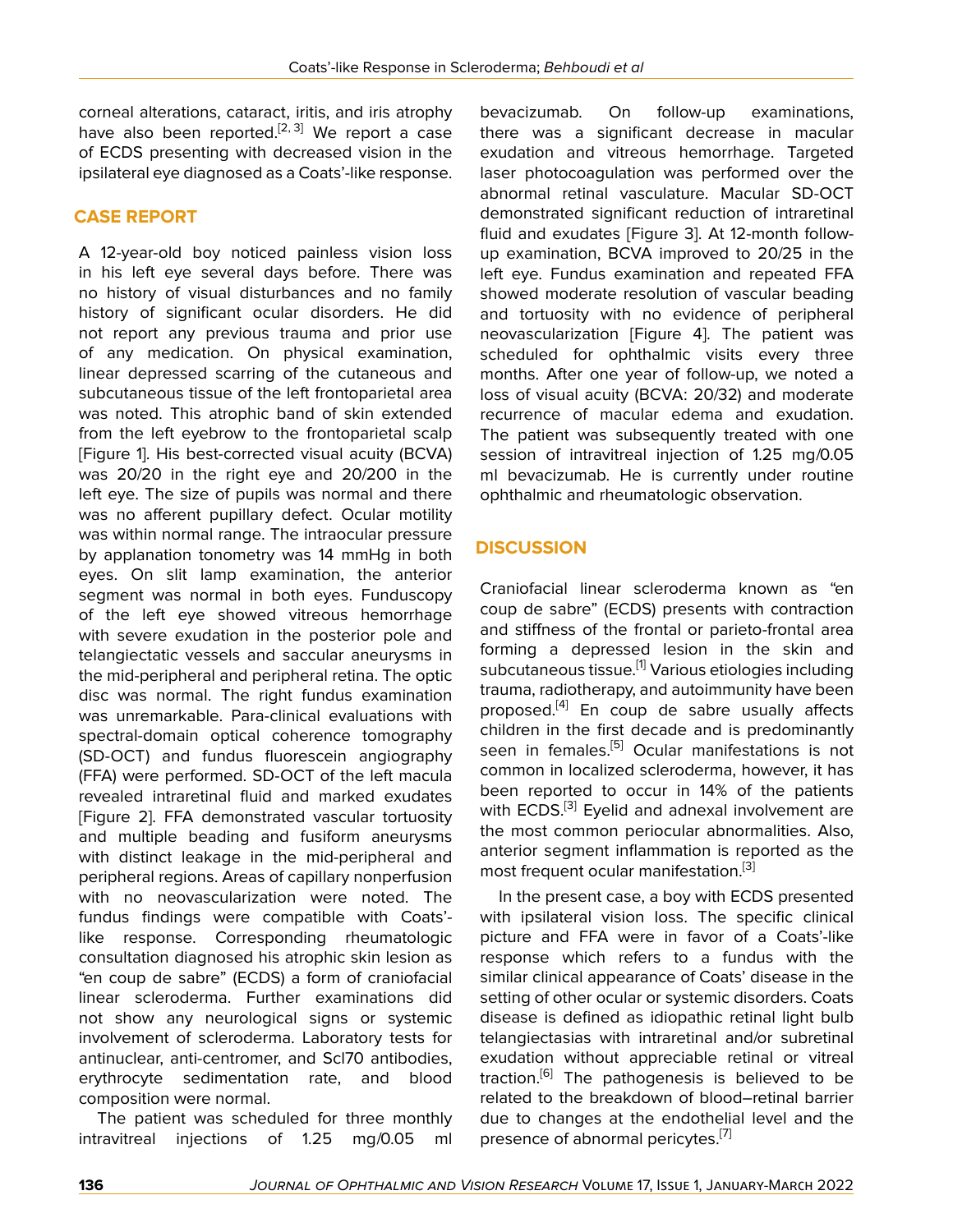corneal alterations, cataract, iritis, and iris atrophy have also been reported.<sup>[[2](#page-4-1), [3](#page-4-2)]</sup> We report a case of ECDS presenting with decreased vision in the ipsilateral eye diagnosed as a Coats'-like response.

# **CASE REPORT**

A 12-year-old boy noticed painless vision loss in his left eye several days before. There was no history of visual disturbances and no family history of significant ocular disorders. He did not report any previous trauma and prior use of any medication. On physical examination, linear depressed scarring of the cutaneous and subcutaneous tissue of the left frontoparietal area was noted. This atrophic band of skin extended from the left eyebrow to the frontoparietal scalp [Figure 1]. His best-corrected visual acuity (BCVA) was 20/20 in the right eye and 20/200 in the left eye. The size of pupils was normal and there was no afferent pupillary defect. Ocular motility was within normal range. The intraocular pressure by applanation tonometry was 14 mmHg in both eyes. On slit lamp examination, the anterior segment was normal in both eyes. Funduscopy of the left eye showed vitreous hemorrhage with severe exudation in the posterior pole and telangiectatic vessels and saccular aneurysms in the mid-peripheral and peripheral retina. The optic disc was normal. The right fundus examination was unremarkable. Para-clinical evaluations with spectral-domain optical coherence tomography (SD-OCT) and fundus fluorescein angiography (FFA) were performed. SD-OCT of the left macula revealed intraretinal fluid and marked exudates [Figure 2]. FFA demonstrated vascular tortuosity and multiple beading and fusiform aneurysms with distinct leakage in the mid-peripheral and peripheral regions. Areas of capillary nonperfusion with no neovascularization were noted. The fundus findings were compatible with Coats' like response. Corresponding rheumatologic consultation diagnosed his atrophic skin lesion as "en coup de sabre" (ECDS) a form of craniofacial linear scleroderma. Further examinations did not show any neurological signs or systemic involvement of scleroderma. Laboratory tests for antinuclear, anti-centromer, and Scl70 antibodies, erythrocyte sedimentation rate, and blood composition were normal.

The patient was scheduled for three monthly intravitreal injections of 1.25 mg/0.05 ml

bevacizumab. On follow-up examinations, there was a significant decrease in macular exudation and vitreous hemorrhage. Targeted laser photocoagulation was performed over the abnormal retinal vasculature. Macular SD-OCT demonstrated significant reduction of intraretinal fluid and exudates [Figure 3]. At 12-month followup examination, BCVA improved to 20/25 in the left eye. Fundus examination and repeated FFA showed moderate resolution of vascular beading and tortuosity with no evidence of peripheral neovascularization [Figure 4]. The patient was scheduled for ophthalmic visits every three months. After one year of follow-up, we noted a loss of visual acuity (BCVA: 20/32) and moderate recurrence of macular edema and exudation. The patient was subsequently treated with one session of intravitreal injection of 1.25 mg/0.05 ml bevacizumab. He is currently under routine ophthalmic and rheumatologic observation.

# **DISCUSSION**

Craniofacial linear scleroderma known as "en coup de sabre" (ECDS) presents with contraction and stiffness of the frontal or parieto-frontal area forming a depressed lesion in the skin and subcutaneous tissue.[[1](#page-4-0)] Various etiologies including trauma, radiotherapy, and autoimmunity have been proposed.<sup>[\[4](#page-4-3)]</sup> En coup de sabre usually affects children in the first decade and is predominantly seen in females.<sup>[\[5\]](#page-4-4)</sup> Ocular manifestations is not common in localized scleroderma, however, it has been reported to occur in 14% of the patients with ECDS.<sup>[\[3\]](#page-4-2)</sup> Eyelid and adnexal involvement are the most common periocular abnormalities. Also, anterior segment inflammation is reported as the most frequent ocular manifestation.<sup>[\[3](#page-4-2)]</sup>

In the present case, a boy with ECDS presented with ipsilateral vision loss. The specific clinical picture and FFA were in favor of a Coats'-like response which refers to a fundus with the similar clinical appearance of Coats' disease in the setting of other ocular or systemic disorders. Coats disease is defined as idiopathic retinal light bulb telangiectasias with intraretinal and/or subretinal exudation without appreciable retinal or vitreal traction.<sup>[[6](#page-4-5)]</sup> The pathogenesis is believed to be related to the breakdown of blood–retinal barrier due to changes at the endothelial level and the presence of abnormal pericytes.<sup>[\[7](#page-4-6)]</sup>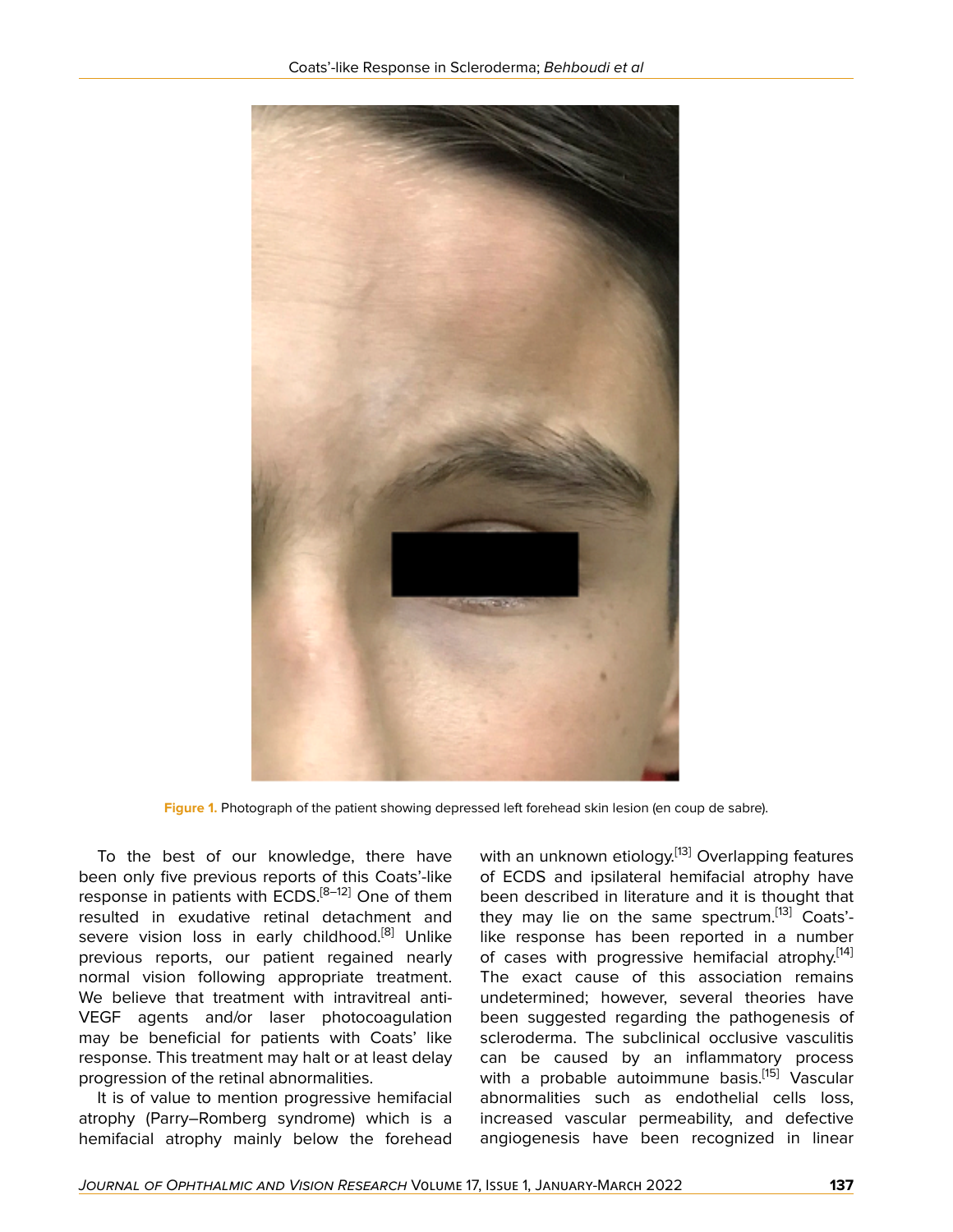

**Figure 1.** Photograph of the patient showing depressed left forehead skin lesion (en coup de sabre).

To the best of our knowledge, there have been only five previous reports of this Coats'-like response in patients with  $ECDS$ <sup>[[8](#page-4-7)-[12\]](#page-4-8)</sup> One of them resulted in exudative retinal detachment and severe vision loss in early childhood.<sup>[[8](#page-4-7)]</sup> Unlike previous reports, our patient regained nearly normal vision following appropriate treatment. We believe that treatment with intravitreal anti-VEGF agents and/or laser photocoagulation may be beneficial for patients with Coats' like response. This treatment may halt or at least delay progression of the retinal abnormalities.

It is of value to mention progressive hemifacial atrophy (Parry–Romberg syndrome) which is a hemifacial atrophy mainly below the forehead

with an unknown etiology.<sup>[[13](#page-4-9)]</sup> Overlapping features of ECDS and ipsilateral hemifacial atrophy have been described in literature and it is thought that they may lie on the same spectrum.<sup>[\[13](#page-4-9)]</sup> Coats'like response has been reported in a number of cases with progressive hemifacial atrophy.<sup>[\[14](#page-4-10)]</sup> The exact cause of this association remains undetermined; however, several theories have been suggested regarding the pathogenesis of scleroderma. The subclinical occlusive vasculitis can be caused by an inflammatory process with a probable autoimmune basis.<sup>[[15\]](#page-4-11)</sup> Vascular abnormalities such as endothelial cells loss, increased vascular permeability, and defective angiogenesis have been recognized in linear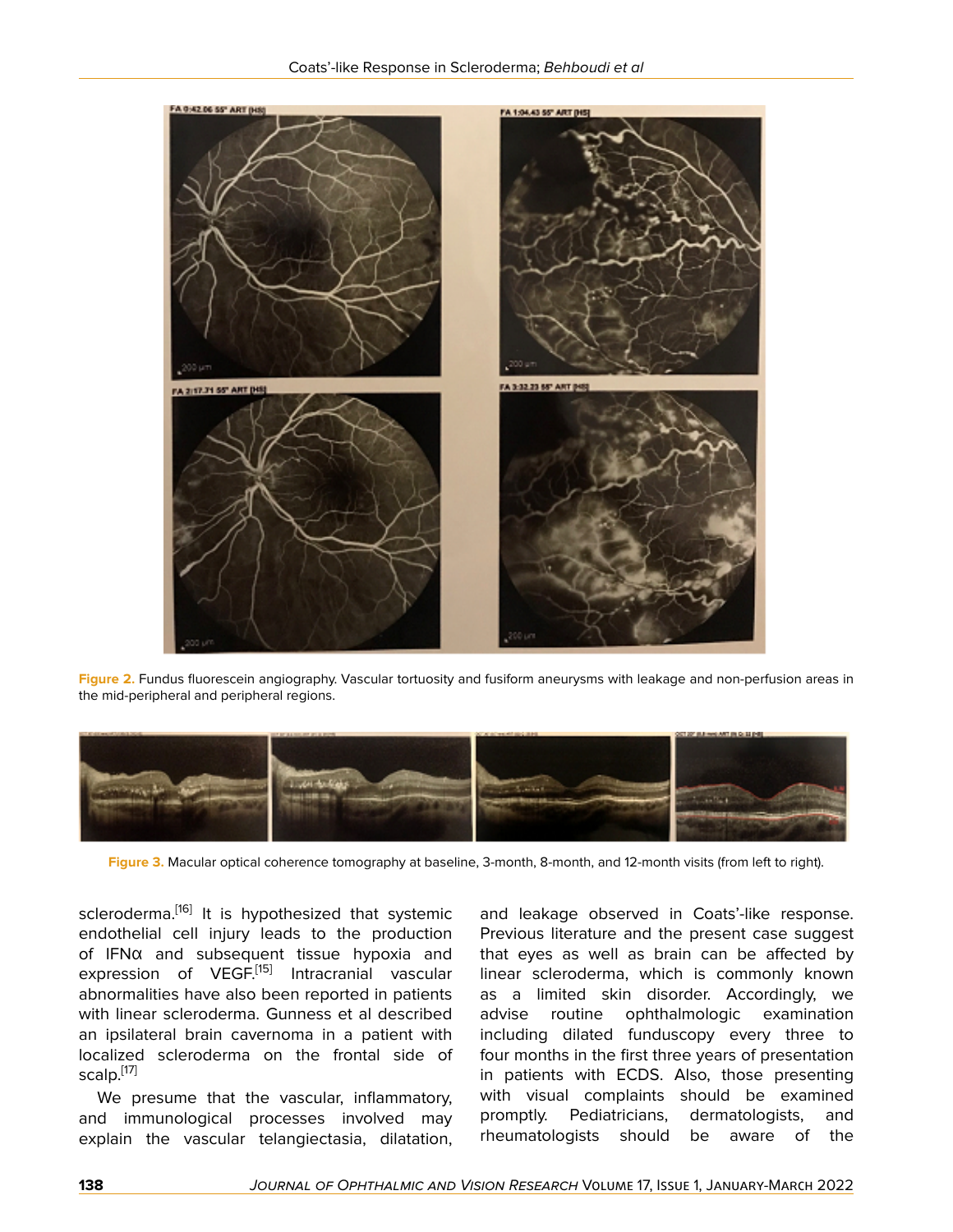

**Figure 2.** Fundus fluorescein angiography. Vascular tortuosity and fusiform aneurysms with leakage and non-perfusion areas in the mid-peripheral and peripheral regions.



**Figure 3.** Macular optical coherence tomography at baseline, 3-month, 8-month, and 12-month visits (from left to right).

scleroderma.<sup>[[16\]](#page-4-12)</sup> It is hypothesized that systemic endothelial cell injury leads to the production of IFNα and subsequent tissue hypoxia and expression of VEGF.<sup>[[15](#page-4-11)]</sup> Intracranial vascular abnormalities have also been reported in patients with linear scleroderma. Gunness et al described an ipsilateral brain cavernoma in a patient with localized scleroderma on the frontal side of scalp.[[17](#page-4-13)]

We presume that the vascular, inflammatory, and immunological processes involved may explain the vascular telangiectasia, dilatation,

and leakage observed in Coats'-like response. Previous literature and the present case suggest that eyes as well as brain can be affected by linear scleroderma, which is commonly known as a limited skin disorder. Accordingly, we advise routine ophthalmologic examination including dilated funduscopy every three to four months in the first three years of presentation in patients with ECDS. Also, those presenting with visual complaints should be examined promptly. Pediatricians, dermatologists, and rheumatologists should be aware of the